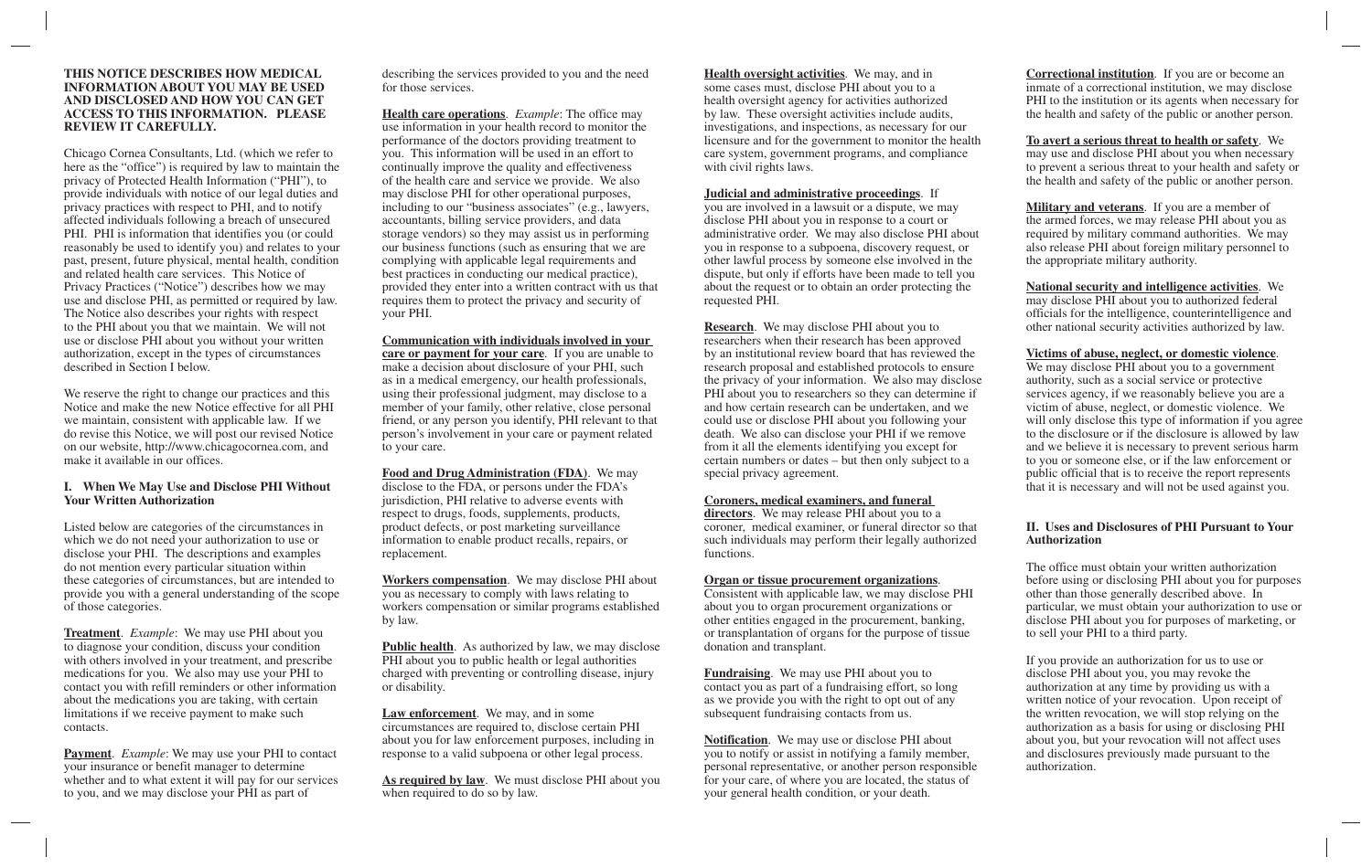#### **THIS NOTICE DESCRIBES HOW MEDICAL INFORMATION ABOUT YOU MAY BE USED AND DISCLOSED AND HOW YOU CAN GET ACCESS TO THIS INFORMATION. PLEASE REVIEW IT CAREFULLY.**

Chicago Cornea Consultants, Ltd. (which we refer to here as the "office") is required by law to maintain the privacy of Protected Health Information ("PHI"), to provide individuals with notice of our legal duties and privacy practices with respect to PHI, and to notify affected individuals following a breach of unsecured PHI. PHI is information that identifies you (or could reasonably be used to identify you) and relates to your past, present, future physical, mental health, condition and related health care services. This Notice of Privacy Practices ("Notice") describes how we may use and disclose PHI, as permitted or required by law. The Notice also describes your rights with respect to the PHI about you that we maintain. We will not use or disclose PHI about you without your written authorization, except in the types of circumstances described in Section I below.

We reserve the right to change our practices and this Notice and make the new Notice effective for all PHI we maintain, consistent with applicable law. If we do revise this Notice, we will post our revised Notice on our website, http://www.chicagocornea.com, and make it available in our offices.

#### **I. When We May Use and Disclose PHI Without Your Written Authorization**

Listed below are categories of the circumstances in which we do not need your authorization to use or disclose your PHI. The descriptions and examples do not mention every particular situation within these categories of circumstances, but are intended to provide you with a general understanding of the scope of those categories.

**Treatment**. *Example*: We may use PHI about you to diagnose your condition, discuss your condition with others involved in your treatment, and prescribe medications for you. We also may use your PHI to contact you with refill reminders or other information about the medications you are taking, with certain limitations if we receive payment to make such contacts.

**Payment**. *Example*: We may use your PHI to contact your insurance or benefit manager to determine whether and to what extent it will pay for our services to you, and we may disclose your PHI as part of

describing the services provided to you and the need for those services.

**Health care operations**. *Example*: The office may use information in your health record to monitor the performance of the doctors providing treatment to you. This information will be used in an effort to continually improve the quality and effectiveness of the health care and service we provide. We also may disclose PHI for other operational purposes, including to our "business associates" (e.g., lawyers, accountants, billing service providers, and data storage vendors) so they may assist us in performing our business functions (such as ensuring that we are complying with applicable legal requirements and best practices in conducting our medical practice), provided they enter into a written contract with us that requires them to protect the privacy and security of your PHI.

#### **Communication with individuals involved in your care or payment for your care**. If you are unable to make a decision about disclosure of your PHI, such as in a medical emergency, our health professionals, using their professional judgment, may disclose to a member of your family, other relative, close personal friend, or any person you identify, PHI relevant to that person's involvement in your care or payment related to your care.

**Food and Drug Administration (FDA)**. We may disclose to the FDA, or persons under the FDA's jurisdiction, PHI relative to adverse events with respect to drugs, foods, supplements, products, product defects, or post marketing surveillance information to enable product recalls, repairs, or replacement.

**Workers compensation**. We may disclose PHI about you as necessary to comply with laws relating to workers compensation or similar programs established by law.

**Public health**. As authorized by law, we may disclose PHI about you to public health or legal authorities charged with preventing or controlling disease, injury or disability.

**Law enforcement**. We may, and in some circumstances are required to, disclose certain PHI about you for law enforcement purposes, including in response to a valid subpoena or other legal process.

**As required by law**. We must disclose PHI about you when required to do so by law.

**Health oversight activities**. We may, and in some cases must, disclose PHI about you to a health oversight agency for activities authorized by law. These oversight activities include audits, investigations, and inspections, as necessary for our licensure and for the government to monitor the health care system, government programs, and compliance with civil rights laws.

#### **Judicial and administrative proceedings**. If

you are involved in a lawsuit or a dispute, we may disclose PHI about you in response to a court or administrative order. We may also disclose PHI about you in response to a subpoena, discovery request, or other lawful process by someone else involved in the dispute, but only if efforts have been made to tell you about the request or to obtain an order protecting the requested PHI.

**Research**. We may disclose PHI about you to researchers when their research has been approved by an institutional review board that has reviewed the research proposal and established protocols to ensure the privacy of your information. We also may disclose PHI about you to researchers so they can determine if and how certain research can be undertaken, and we could use or disclose PHI about you following your death. We also can disclose your PHI if we remove from it all the elements identifying you except for certain numbers or dates – but then only subject to a special privacy agreement.

# **Coroners, medical examiners, and funeral**

**directors**. We may release PHI about you to a coroner, medical examiner, or funeral director so that such individuals may perform their legally authorized functions.

#### **Organ or tissue procurement organizations**.

Consistent with applicable law, we may disclose PHI about you to organ procurement organizations or other entities engaged in the procurement, banking, or transplantation of organs for the purpose of tissue donation and transplant.

**Fundraising**. We may use PHI about you to contact you as part of a fundraising effort, so long as we provide you with the right to opt out of any subsequent fundraising contacts from us.

**Notification**. We may use or disclose PHI about you to notify or assist in notifying a family member, personal representative, or another person responsible for your care, of where you are located, the status of your general health condition, or your death.

**Correctional institution**. If you are or become an inmate of a correctional institution, we may disclose PHI to the institution or its agents when necessary for the health and safety of the public or another person.

**To avert a serious threat to health or safety**. We may use and disclose PHI about you when necessary to prevent a serious threat to your health and safety or the health and safety of the public or another person.

**Military and veterans**. If you are a member of the armed forces, we may release PHI about you as required by military command authorities. We may also release PHI about foreign military personnel to the appropriate military authority.

**National security and intelligence activities**. We may disclose PHI about you to authorized federal officials for the intelligence, counterintelligence and other national security activities authorized by law.

### **Victims of abuse, neglect, or domestic violence**.

We may disclose PHI about you to a government authority, such as a social service or protective services agency, if we reasonably believe you are a victim of abuse, neglect, or domestic violence. We will only disclose this type of information if you agree to the disclosure or if the disclosure is allowed by law and we believe it is necessary to prevent serious harm to you or someone else, or if the law enforcement or public official that is to receive the report represents that it is necessary and will not be used against you.

### **II. Uses and Disclosures of PHI Pursuant to Your Authorization**

The office must obtain your written authorization before using or disclosing PHI about you for purposes other than those generally described above. In particular, we must obtain your authorization to use or disclose PHI about you for purposes of marketing, or to sell your PHI to a third party.

If you provide an authorization for us to use or disclose PHI about you, you may revoke the authorization at any time by providing us with a written notice of your revocation. Upon receipt of the written revocation, we will stop relying on the authorization as a basis for using or disclosing PHI about you, but your revocation will not affect uses and disclosures previously made pursuant to the authorization.